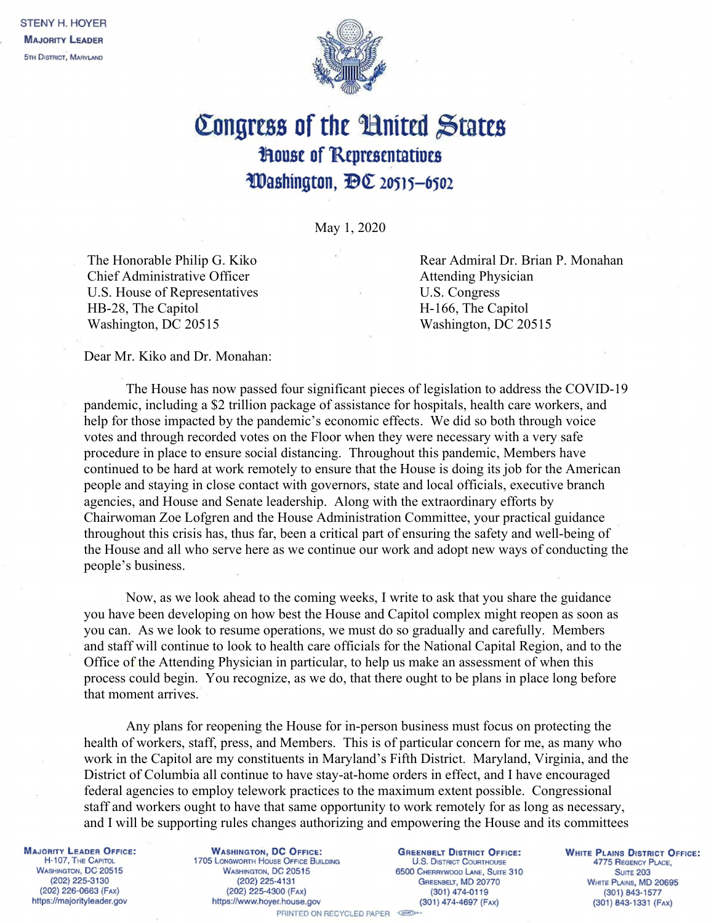

## Congress of the United States **House of Representatives** Washington, DC 20515-6502

May 1, 2020

 The Honorable Philip G. Kiko Chief Administrative Officer U.S. House of Representatives HB-28, The Capitol Washington, DC 20515

Rear Admiral Dr. Brian P. Monahan Attending Physician U.S. Congress H-166, The Capitol Washington, DC 20515

Dear Mr. Kiko and Dr. Monahan:

The House has now passed four significant pieces of legislation to address the COVID-19 pandemic, including a \$2 trillion package of assistance for hospitals, health care workers, and help for those impacted by the pandemic's economic effects. We did so both through voice votes and through recorded votes on the Floor when they were necessary with a very safe procedure in place to ensure social distancing. Throughout this pandemic, Members have continued to be hard at work remotely to ensure that the House is doing its job for the American people and staying in close contact with governors, state and local officials, executive branch agencies, and House and Senate leadership. Along with the extraordinary efforts by Chairwoman Zoe Lofgren and the House Administration Committee, your practical guidance throughout this crisis has, thus far, been a critical part of ensuring the safety and well-being of the House and all who serve here as we continue our work and adopt new ways of conducting the people's business.

Now, as we look ahead to the coming weeks, I write to ask that you share the guidance you have been developing on how best the House and Capitol complex might reopen as soon as you can. As we look to resume operations, we must do so gradually and carefully. Members and staff will continue to look to health care officials for the National Capital Region, and to the Office of the Attending Physician in particular, to help us make an assessment of when this process could begin. You recognize, as we do, that there ought to be plans in place long before that moment arrives.

Any plans for reopening the House for in-person business must focus on protecting the health of workers, staff, press, and Members. This is of particular concern for me, as many who work in the Capitol are my constituents in Maryland's Fifth District. Maryland, Virginia, and the District of Columbia all continue to have stay-at-home orders in effect, and I have encouraged federal agencies to employ telework practices to the maximum extent possible. Congressional staff and workers ought to have that same opportunity to work remotely for as long as necessary, and I will be supporting rules changes authorizing and empowering the House and its committees

**MAJORITY LEADER OFFICE:** H-107, THE CAPITOL WASHINGTON, DC 20515 (202) 225-3130 (202) 226-0663 (FAx) https://majorityleader.gov

**WASHINGTON, DC OFFICE:** 1705 LONGWORTH HOUSE OFFICE BUILDING WASHINGTON, DC 20515 (202) 225-4131 (202) 225-4300 (FAX) https://www.hoyer.house.gov

**GREENBELT DISTRICT OFFICE: U.S. DISTRICT COURTHOUSE** 6500 CHERRYWOOD LANE, SUITE 310 GREENBELT, MD 20770 (301) 474-0119 (301) 474-4697 (FAx)

**WHITE PLAINS DISTRICT OFFICE:** 4775 REGENCY PLACE, **SUITE 203** WHITE PLAINS, MD 20695 (301) 843-1577  $(301)$  843-1331 (FAX)

PRINTED ON RECYCLED PAPER